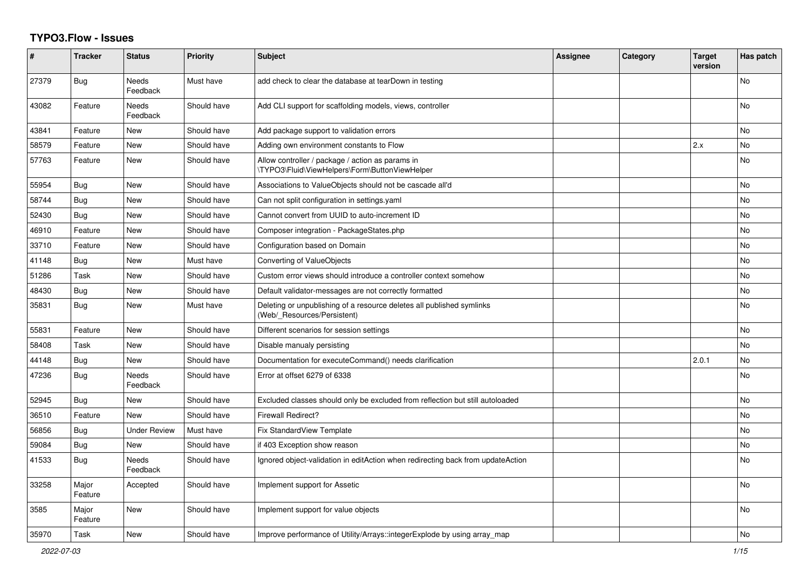## **TYPO3.Flow - Issues**

| #     | <b>Tracker</b>   | <b>Status</b>            | <b>Priority</b> | <b>Subject</b>                                                                                       | Assignee | Category | <b>Target</b><br>version | Has patch      |
|-------|------------------|--------------------------|-----------------|------------------------------------------------------------------------------------------------------|----------|----------|--------------------------|----------------|
| 27379 | <b>Bug</b>       | <b>Needs</b><br>Feedback | Must have       | add check to clear the database at tearDown in testing                                               |          |          |                          | <b>No</b>      |
| 43082 | Feature          | Needs<br>Feedback        | Should have     | Add CLI support for scaffolding models, views, controller                                            |          |          |                          | No             |
| 43841 | Feature          | <b>New</b>               | Should have     | Add package support to validation errors                                                             |          |          |                          | No.            |
| 58579 | Feature          | <b>New</b>               | Should have     | Adding own environment constants to Flow                                                             |          |          | 2.x                      | No             |
| 57763 | Feature          | <b>New</b>               | Should have     | Allow controller / package / action as params in<br>\TYPO3\Fluid\ViewHelpers\Form\ButtonViewHelper   |          |          |                          | <b>No</b>      |
| 55954 | Bug              | <b>New</b>               | Should have     | Associations to ValueObjects should not be cascade all'd                                             |          |          |                          | No             |
| 58744 | <b>Bug</b>       | <b>New</b>               | Should have     | Can not split configuration in settings.yaml                                                         |          |          |                          | No.            |
| 52430 | Bug              | New                      | Should have     | Cannot convert from UUID to auto-increment ID                                                        |          |          |                          | No.            |
| 46910 | Feature          | <b>New</b>               | Should have     | Composer integration - PackageStates.php                                                             |          |          |                          | N <sub>o</sub> |
| 33710 | Feature          | <b>New</b>               | Should have     | Configuration based on Domain                                                                        |          |          |                          | N <sub>o</sub> |
| 41148 | Bug              | New                      | Must have       | Converting of ValueObjects                                                                           |          |          |                          | No             |
| 51286 | Task             | New                      | Should have     | Custom error views should introduce a controller context somehow                                     |          |          |                          | No             |
| 48430 | Bug              | New                      | Should have     | Default validator-messages are not correctly formatted                                               |          |          |                          | No             |
| 35831 | Bug              | New                      | Must have       | Deleting or unpublishing of a resource deletes all published symlinks<br>(Web/ Resources/Persistent) |          |          |                          | No             |
| 55831 | Feature          | <b>New</b>               | Should have     | Different scenarios for session settings                                                             |          |          |                          | <b>No</b>      |
| 58408 | Task             | New                      | Should have     | Disable manualy persisting                                                                           |          |          |                          | No             |
| 44148 | Bug              | New                      | Should have     | Documentation for executeCommand() needs clarification                                               |          |          | 2.0.1                    | No             |
| 47236 | Bug              | Needs<br>Feedback        | Should have     | Error at offset 6279 of 6338                                                                         |          |          |                          | No             |
| 52945 | Bug              | <b>New</b>               | Should have     | Excluded classes should only be excluded from reflection but still autoloaded                        |          |          |                          | N <sub>o</sub> |
| 36510 | Feature          | New                      | Should have     | <b>Firewall Redirect?</b>                                                                            |          |          |                          | No             |
| 56856 | Bug              | <b>Under Review</b>      | Must have       | <b>Fix StandardView Template</b>                                                                     |          |          |                          | N <sub>o</sub> |
| 59084 | <b>Bug</b>       | New                      | Should have     | if 403 Exception show reason                                                                         |          |          |                          | No             |
| 41533 | Bug              | Needs<br>Feedback        | Should have     | Ignored object-validation in editAction when redirecting back from updateAction                      |          |          |                          | No             |
| 33258 | Major<br>Feature | Accepted                 | Should have     | Implement support for Assetic                                                                        |          |          |                          | No             |
| 3585  | Major<br>Feature | New                      | Should have     | Implement support for value objects                                                                  |          |          |                          | No             |
| 35970 | Task             | New                      | Should have     | Improve performance of Utility/Arrays::integerExplode by using array_map                             |          |          |                          | <b>No</b>      |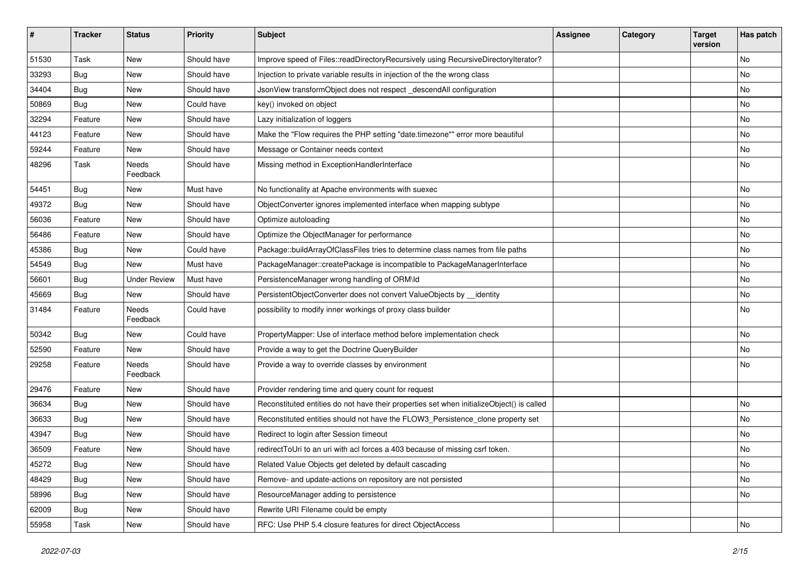| #     | <b>Tracker</b> | <b>Status</b>            | <b>Priority</b> | <b>Subject</b>                                                                            | <b>Assignee</b> | Category | <b>Target</b><br>version | Has patch |
|-------|----------------|--------------------------|-----------------|-------------------------------------------------------------------------------------------|-----------------|----------|--------------------------|-----------|
| 51530 | Task           | <b>New</b>               | Should have     | Improve speed of Files::readDirectoryRecursively using RecursiveDirectoryIterator?        |                 |          |                          | No        |
| 33293 | <b>Bug</b>     | New                      | Should have     | Injection to private variable results in injection of the the wrong class                 |                 |          |                          | No        |
| 34404 | <b>Bug</b>     | New                      | Should have     | JsonView transformObject does not respect_descendAll configuration                        |                 |          |                          | No        |
| 50869 | <b>Bug</b>     | <b>New</b>               | Could have      | key() invoked on object                                                                   |                 |          |                          | <b>No</b> |
| 32294 | Feature        | New                      | Should have     | Lazy initialization of loggers                                                            |                 |          |                          | No        |
| 44123 | Feature        | <b>New</b>               | Should have     | Make the "Flow requires the PHP setting "date.timezone"" error more beautiful             |                 |          |                          | <b>No</b> |
| 59244 | Feature        | New                      | Should have     | Message or Container needs context                                                        |                 |          |                          | No        |
| 48296 | Task           | <b>Needs</b><br>Feedback | Should have     | Missing method in ExceptionHandlerInterface                                               |                 |          |                          | No        |
| 54451 | Bug            | New                      | Must have       | No functionality at Apache environments with suexec                                       |                 |          |                          | <b>No</b> |
| 49372 | <b>Bug</b>     | New                      | Should have     | ObjectConverter ignores implemented interface when mapping subtype                        |                 |          |                          | No        |
| 56036 | Feature        | <b>New</b>               | Should have     | Optimize autoloading                                                                      |                 |          |                          | No        |
| 56486 | Feature        | New                      | Should have     | Optimize the ObjectManager for performance                                                |                 |          |                          | No        |
| 45386 | <b>Bug</b>     | <b>New</b>               | Could have      | Package::buildArrayOfClassFiles tries to determine class names from file paths            |                 |          |                          | <b>No</b> |
| 54549 | Bug            | New                      | Must have       | PackageManager::createPackage is incompatible to PackageManagerInterface                  |                 |          |                          | No        |
| 56601 | <b>Bug</b>     | <b>Under Review</b>      | Must have       | PersistenceManager wrong handling of ORM\ld                                               |                 |          |                          | No        |
| 45669 | <b>Bug</b>     | <b>New</b>               | Should have     | PersistentObjectConverter does not convert ValueObjects by _identity                      |                 |          |                          | No        |
| 31484 | Feature        | Needs<br>Feedback        | Could have      | possibility to modify inner workings of proxy class builder                               |                 |          |                          | No        |
| 50342 | Bug            | New                      | Could have      | PropertyMapper: Use of interface method before implementation check                       |                 |          |                          | No        |
| 52590 | Feature        | New                      | Should have     | Provide a way to get the Doctrine QueryBuilder                                            |                 |          |                          | No        |
| 29258 | Feature        | Needs<br>Feedback        | Should have     | Provide a way to override classes by environment                                          |                 |          |                          | No        |
| 29476 | Feature        | New                      | Should have     | Provider rendering time and query count for request                                       |                 |          |                          |           |
| 36634 | Bug            | New                      | Should have     | Reconstituted entities do not have their properties set when initializeObject() is called |                 |          |                          | <b>No</b> |
| 36633 | <b>Bug</b>     | New                      | Should have     | Reconstituted entities should not have the FLOW3_Persistence_clone property set           |                 |          |                          | No        |
| 43947 | <b>Bug</b>     | New                      | Should have     | Redirect to login after Session timeout                                                   |                 |          |                          | No        |
| 36509 | Feature        | New                      | Should have     | redirectToUri to an uri with acl forces a 403 because of missing csrf token.              |                 |          |                          | No        |
| 45272 | <b>Bug</b>     | New                      | Should have     | Related Value Objects get deleted by default cascading                                    |                 |          |                          | No        |
| 48429 | Bug            | New                      | Should have     | Remove- and update-actions on repository are not persisted                                |                 |          |                          | No        |
| 58996 | <b>Bug</b>     | New                      | Should have     | ResourceManager adding to persistence                                                     |                 |          |                          | No        |
| 62009 | <b>Bug</b>     | New                      | Should have     | Rewrite URI Filename could be empty                                                       |                 |          |                          |           |
| 55958 | Task           | New                      | Should have     | RFC: Use PHP 5.4 closure features for direct ObjectAccess                                 |                 |          |                          | No        |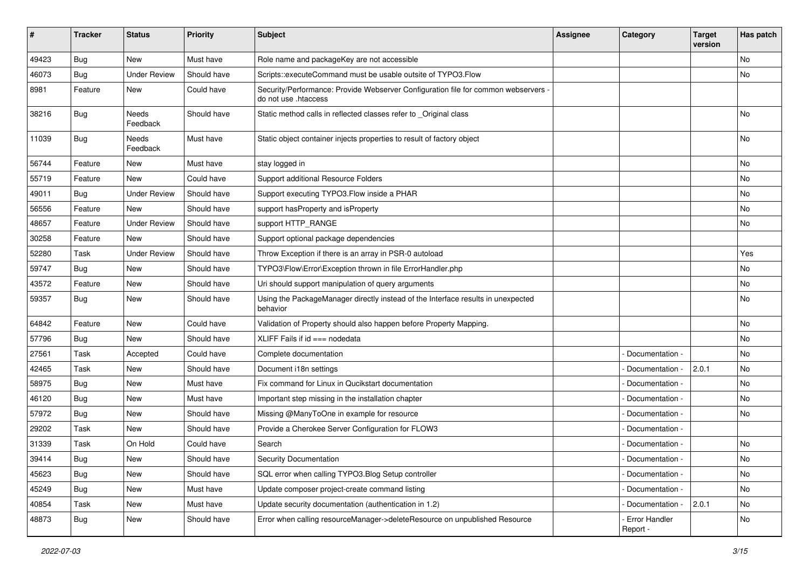| ∦     | <b>Tracker</b> | <b>Status</b>       | <b>Priority</b> | <b>Subject</b>                                                                                             | <b>Assignee</b> | Category                  | <b>Target</b><br>version | Has patch |
|-------|----------------|---------------------|-----------------|------------------------------------------------------------------------------------------------------------|-----------------|---------------------------|--------------------------|-----------|
| 49423 | Bug            | New                 | Must have       | Role name and packageKey are not accessible                                                                |                 |                           |                          | No        |
| 46073 | Bug            | <b>Under Review</b> | Should have     | Scripts::executeCommand must be usable outsite of TYPO3.Flow                                               |                 |                           |                          | No        |
| 8981  | Feature        | New                 | Could have      | Security/Performance: Provide Webserver Configuration file for common webservers -<br>do not use .htaccess |                 |                           |                          |           |
| 38216 | Bug            | Needs<br>Feedback   | Should have     | Static method calls in reflected classes refer to _Original class                                          |                 |                           |                          | <b>No</b> |
| 11039 | Bug            | Needs<br>Feedback   | Must have       | Static object container injects properties to result of factory object                                     |                 |                           |                          | No        |
| 56744 | Feature        | New                 | Must have       | stay logged in                                                                                             |                 |                           |                          | <b>No</b> |
| 55719 | Feature        | <b>New</b>          | Could have      | Support additional Resource Folders                                                                        |                 |                           |                          | No        |
| 49011 | <b>Bug</b>     | <b>Under Review</b> | Should have     | Support executing TYPO3. Flow inside a PHAR                                                                |                 |                           |                          | No        |
| 56556 | Feature        | <b>New</b>          | Should have     | support hasProperty and isProperty                                                                         |                 |                           |                          | No        |
| 48657 | Feature        | <b>Under Review</b> | Should have     | support HTTP RANGE                                                                                         |                 |                           |                          | No        |
| 30258 | Feature        | <b>New</b>          | Should have     | Support optional package dependencies                                                                      |                 |                           |                          |           |
| 52280 | Task           | <b>Under Review</b> | Should have     | Throw Exception if there is an array in PSR-0 autoload                                                     |                 |                           |                          | Yes       |
| 59747 | <b>Bug</b>     | New                 | Should have     | TYPO3\Flow\Error\Exception thrown in file ErrorHandler.php                                                 |                 |                           |                          | No        |
| 43572 | Feature        | New                 | Should have     | Uri should support manipulation of query arguments                                                         |                 |                           |                          | No        |
| 59357 | Bug            | New                 | Should have     | Using the PackageManager directly instead of the Interface results in unexpected<br>behavior               |                 |                           |                          | No        |
| 64842 | Feature        | <b>New</b>          | Could have      | Validation of Property should also happen before Property Mapping.                                         |                 |                           |                          | No        |
| 57796 | Bug            | New                 | Should have     | XLIFF Fails if $id ==$ nodedata                                                                            |                 |                           |                          | No        |
| 27561 | Task           | Accepted            | Could have      | Complete documentation                                                                                     |                 | Documentation -           |                          | <b>No</b> |
| 42465 | Task           | New                 | Should have     | Document i18n settings                                                                                     |                 | Documentation -           | 2.0.1                    | No        |
| 58975 | <b>Bug</b>     | New                 | Must have       | Fix command for Linux in Qucikstart documentation                                                          |                 | Documentation -           |                          | No        |
| 46120 | Bug            | New                 | Must have       | Important step missing in the installation chapter                                                         |                 | Documentation -           |                          | No        |
| 57972 | <b>Bug</b>     | New                 | Should have     | Missing @ManyToOne in example for resource                                                                 |                 | Documentation -           |                          | No        |
| 29202 | Task           | New                 | Should have     | Provide a Cherokee Server Configuration for FLOW3                                                          |                 | Documentation -           |                          |           |
| 31339 | Task           | On Hold             | Could have      | Search                                                                                                     |                 | Documentation -           |                          | No        |
| 39414 | <b>Bug</b>     | New                 | Should have     | Security Documentation                                                                                     |                 | - Documentation -         |                          | N0        |
| 45623 | <b>Bug</b>     | New                 | Should have     | SQL error when calling TYPO3.Blog Setup controller                                                         |                 | Documentation -           |                          | No        |
| 45249 | <b>Bug</b>     | New                 | Must have       | Update composer project-create command listing                                                             |                 | Documentation -           |                          | No        |
| 40854 | Task           | New                 | Must have       | Update security documentation (authentication in 1.2)                                                      |                 | - Documentation -         | 2.0.1                    | No        |
| 48873 | <b>Bug</b>     | New                 | Should have     | Error when calling resourceManager->deleteResource on unpublished Resource                                 |                 | Error Handler<br>Report - |                          | No        |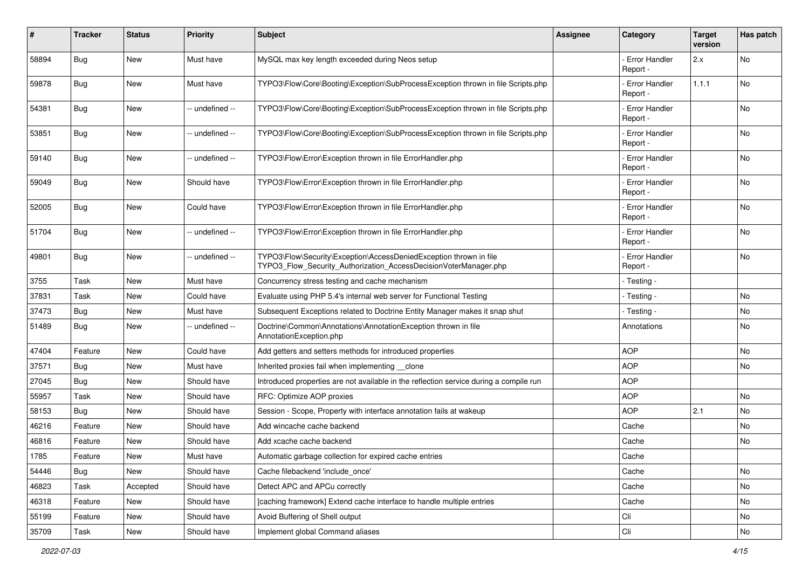| #     | Tracker    | <b>Status</b> | <b>Priority</b> | <b>Subject</b>                                                                                                                         | <b>Assignee</b> | Category                         | <b>Target</b><br>version | Has patch |
|-------|------------|---------------|-----------------|----------------------------------------------------------------------------------------------------------------------------------------|-----------------|----------------------------------|--------------------------|-----------|
| 58894 | Bug        | New           | Must have       | MySQL max key length exceeded during Neos setup                                                                                        |                 | <b>Error Handler</b><br>Report - | 2.x                      | No        |
| 59878 | <b>Bug</b> | New           | Must have       | TYPO3\Flow\Core\Booting\Exception\SubProcessException thrown in file Scripts.php                                                       |                 | <b>Error Handler</b><br>Report - | 1.1.1                    | No        |
| 54381 | Bug        | New           | -- undefined -- | TYPO3\Flow\Core\Booting\Exception\SubProcessException thrown in file Scripts.php                                                       |                 | Error Handler<br>Report -        |                          | No        |
| 53851 | Bug        | New           | -- undefined -- | TYPO3\Flow\Core\Booting\Exception\SubProcessException thrown in file Scripts.php                                                       |                 | <b>Error Handler</b><br>Report - |                          | <b>No</b> |
| 59140 | <b>Bug</b> | <b>New</b>    | -- undefined -- | TYPO3\Flow\Error\Exception thrown in file ErrorHandler.php                                                                             |                 | <b>Error Handler</b><br>Report - |                          | No        |
| 59049 | <b>Bug</b> | New           | Should have     | TYPO3\Flow\Error\Exception thrown in file ErrorHandler.php                                                                             |                 | <b>Error Handler</b><br>Report - |                          | <b>No</b> |
| 52005 | <b>Bug</b> | New           | Could have      | TYPO3\Flow\Error\Exception thrown in file ErrorHandler.php                                                                             |                 | - Error Handler<br>Report -      |                          | <b>No</b> |
| 51704 | Bug        | New           | -- undefined -- | TYPO3\Flow\Error\Exception thrown in file ErrorHandler.php                                                                             |                 | <b>Error Handler</b><br>Report - |                          | No        |
| 49801 | Bug        | New           | -- undefined -- | TYPO3\Flow\Security\Exception\AccessDeniedException thrown in file<br>TYPO3 Flow Security Authorization AccessDecisionVoterManager.php |                 | - Error Handler<br>Report -      |                          | No        |
| 3755  | Task       | New           | Must have       | Concurrency stress testing and cache mechanism                                                                                         |                 | - Testing -                      |                          |           |
| 37831 | Task       | New           | Could have      | Evaluate using PHP 5.4's internal web server for Functional Testing                                                                    |                 | - Testing -                      |                          | <b>No</b> |
| 37473 | <b>Bug</b> | New           | Must have       | Subsequent Exceptions related to Doctrine Entity Manager makes it snap shut                                                            |                 | - Testing -                      |                          | No        |
| 51489 | Bug        | New           | -- undefined -- | Doctrine\Common\Annotations\AnnotationException thrown in file<br>AnnotationException.php                                              |                 | Annotations                      |                          | <b>No</b> |
| 47404 | Feature    | New           | Could have      | Add getters and setters methods for introduced properties                                                                              |                 | <b>AOP</b>                       |                          | <b>No</b> |
| 37571 | Bug        | New           | Must have       | Inherited proxies fail when implementing clone                                                                                         |                 | <b>AOP</b>                       |                          | No        |
| 27045 | <b>Bug</b> | New           | Should have     | Introduced properties are not available in the reflection service during a compile run                                                 |                 | <b>AOP</b>                       |                          |           |
| 55957 | Task       | New           | Should have     | RFC: Optimize AOP proxies                                                                                                              |                 | <b>AOP</b>                       |                          | No        |
| 58153 | <b>Bug</b> | <b>New</b>    | Should have     | Session - Scope, Property with interface annotation fails at wakeup                                                                    |                 | <b>AOP</b>                       | 2.1                      | <b>No</b> |
| 46216 | Feature    | New           | Should have     | Add wincache cache backend                                                                                                             |                 | Cache                            |                          | No        |
| 46816 | Feature    | New           | Should have     | Add xcache cache backend                                                                                                               |                 | Cache                            |                          | No        |
| 1785  | Feature    | New           | Must have       | Automatic garbage collection for expired cache entries                                                                                 |                 | Cache                            |                          |           |
| 54446 | Bug        | New           | Should have     | Cache filebackend 'include_once'                                                                                                       |                 | Cache                            |                          | No        |
| 46823 | Task       | Accepted      | Should have     | Detect APC and APCu correctly                                                                                                          |                 | Cache                            |                          | No        |
| 46318 | Feature    | New           | Should have     | [caching framework] Extend cache interface to handle multiple entries                                                                  |                 | Cache                            |                          | No        |
| 55199 | Feature    | New           | Should have     | Avoid Buffering of Shell output                                                                                                        |                 | Cli                              |                          | No        |
| 35709 | Task       | New           | Should have     | Implement global Command aliases                                                                                                       |                 | Cli                              |                          | No        |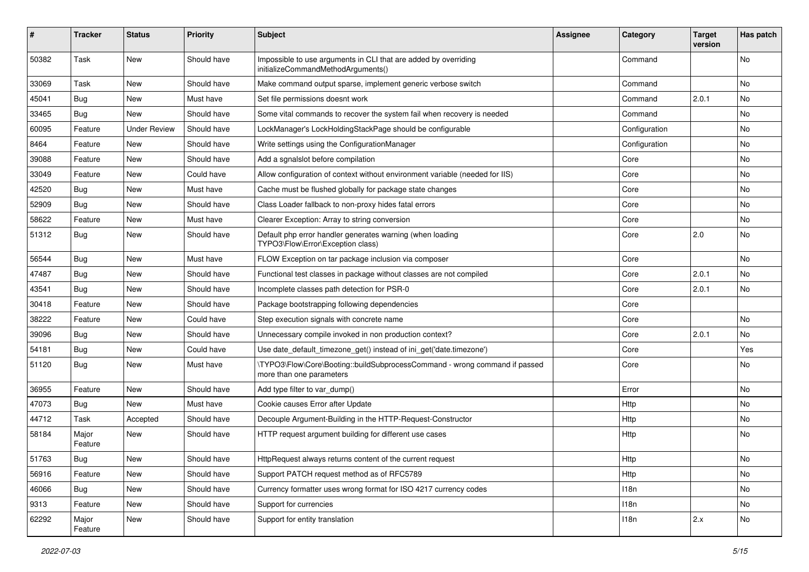| #     | <b>Tracker</b>   | <b>Status</b>       | <b>Priority</b> | <b>Subject</b>                                                                                         | <b>Assignee</b> | Category      | <b>Target</b><br>version | Has patch |
|-------|------------------|---------------------|-----------------|--------------------------------------------------------------------------------------------------------|-----------------|---------------|--------------------------|-----------|
| 50382 | Task             | New                 | Should have     | Impossible to use arguments in CLI that are added by overriding<br>initializeCommandMethodArguments()  |                 | Command       |                          | No        |
| 33069 | Task             | New                 | Should have     | Make command output sparse, implement generic verbose switch                                           |                 | Command       |                          | No        |
| 45041 | Bug              | <b>New</b>          | Must have       | Set file permissions doesnt work                                                                       |                 | Command       | 2.0.1                    | No        |
| 33465 | Bug              | New                 | Should have     | Some vital commands to recover the system fail when recovery is needed                                 |                 | Command       |                          | No        |
| 60095 | Feature          | <b>Under Review</b> | Should have     | LockManager's LockHoldingStackPage should be configurable                                              |                 | Configuration |                          | No.       |
| 8464  | Feature          | New                 | Should have     | Write settings using the ConfigurationManager                                                          |                 | Configuration |                          | No        |
| 39088 | Feature          | New                 | Should have     | Add a sgnalslot before compilation                                                                     |                 | Core          |                          | No        |
| 33049 | Feature          | New                 | Could have      | Allow configuration of context without environment variable (needed for IIS)                           |                 | Core          |                          | No        |
| 42520 | Bug              | New                 | Must have       | Cache must be flushed globally for package state changes                                               |                 | Core          |                          | No        |
| 52909 | Bug              | New                 | Should have     | Class Loader fallback to non-proxy hides fatal errors                                                  |                 | Core          |                          | No.       |
| 58622 | Feature          | New                 | Must have       | Clearer Exception: Array to string conversion                                                          |                 | Core          |                          | No        |
| 51312 | <b>Bug</b>       | New                 | Should have     | Default php error handler generates warning (when loading<br>TYPO3\Flow\Error\Exception class)         |                 | Core          | 2.0                      | No        |
| 56544 | Bug              | New                 | Must have       | FLOW Exception on tar package inclusion via composer                                                   |                 | Core          |                          | <b>No</b> |
| 47487 | Bug              | New                 | Should have     | Functional test classes in package without classes are not compiled                                    |                 | Core          | 2.0.1                    | No        |
| 43541 | <b>Bug</b>       | New                 | Should have     | Incomplete classes path detection for PSR-0                                                            |                 | Core          | 2.0.1                    | No        |
| 30418 | Feature          | New                 | Should have     | Package bootstrapping following dependencies                                                           |                 | Core          |                          |           |
| 38222 | Feature          | New                 | Could have      | Step execution signals with concrete name                                                              |                 | Core          |                          | No.       |
| 39096 | Bug              | New                 | Should have     | Unnecessary compile invoked in non production context?                                                 |                 | Core          | 2.0.1                    | No        |
| 54181 | Bug              | New                 | Could have      | Use date_default_timezone_get() instead of ini_get('date.timezone')                                    |                 | Core          |                          | Yes       |
| 51120 | Bug              | New                 | Must have       | \TYPO3\Flow\Core\Booting::buildSubprocessCommand - wrong command if passed<br>more than one parameters |                 | Core          |                          | No        |
| 36955 | Feature          | New                 | Should have     | Add type filter to var_dump()                                                                          |                 | Error         |                          | No        |
| 47073 | Bug              | <b>New</b>          | Must have       | Cookie causes Error after Update                                                                       |                 | Http          |                          | No        |
| 44712 | Task             | Accepted            | Should have     | Decouple Argument-Building in the HTTP-Request-Constructor                                             |                 | Http          |                          | No        |
| 58184 | Major<br>Feature | New                 | Should have     | HTTP request argument building for different use cases                                                 |                 | Http          |                          | No.       |
| 51763 | Bug              | New                 | Should have     | HttpRequest always returns content of the current request                                              |                 | Http          |                          | NO.       |
| 56916 | Feature          | New                 | Should have     | Support PATCH request method as of RFC5789                                                             |                 | Http          |                          | No        |
| 46066 | Bug              | New                 | Should have     | Currency formatter uses wrong format for ISO 4217 currency codes                                       |                 | 118n          |                          | No        |
| 9313  | Feature          | New                 | Should have     | Support for currencies                                                                                 |                 | 118n          |                          | No        |
| 62292 | Major<br>Feature | New                 | Should have     | Support for entity translation                                                                         |                 | 118n          | 2.x                      | No        |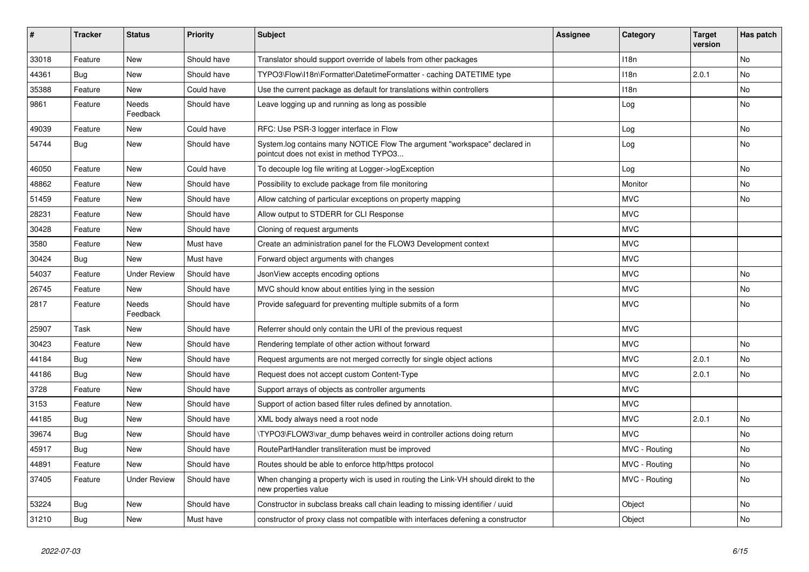| ∦     | <b>Tracker</b> | <b>Status</b>            | <b>Priority</b> | <b>Subject</b>                                                                                                       | <b>Assignee</b> | Category         | <b>Target</b><br>version | Has patch |
|-------|----------------|--------------------------|-----------------|----------------------------------------------------------------------------------------------------------------------|-----------------|------------------|--------------------------|-----------|
| 33018 | Feature        | New                      | Should have     | Translator should support override of labels from other packages                                                     |                 | 118 <sub>n</sub> |                          | <b>No</b> |
| 44361 | Bug            | <b>New</b>               | Should have     | TYPO3\Flow\I18n\Formatter\DatetimeFormatter - caching DATETIME type                                                  |                 | 118 <sub>n</sub> | 2.0.1                    | No        |
| 35388 | Feature        | <b>New</b>               | Could have      | Use the current package as default for translations within controllers                                               |                 | 118n             |                          | <b>No</b> |
| 9861  | Feature        | Needs<br>Feedback        | Should have     | Leave logging up and running as long as possible                                                                     |                 | Log              |                          | No        |
| 49039 | Feature        | <b>New</b>               | Could have      | RFC: Use PSR-3 logger interface in Flow                                                                              |                 | Log              |                          | No        |
| 54744 | Bug            | <b>New</b>               | Should have     | System.log contains many NOTICE Flow The argument "workspace" declared in<br>pointcut does not exist in method TYPO3 |                 | Log              |                          | <b>No</b> |
| 46050 | Feature        | <b>New</b>               | Could have      | To decouple log file writing at Logger->logException                                                                 |                 | Log              |                          | No        |
| 48862 | Feature        | <b>New</b>               | Should have     | Possibility to exclude package from file monitoring                                                                  |                 | Monitor          |                          | No        |
| 51459 | Feature        | <b>New</b>               | Should have     | Allow catching of particular exceptions on property mapping                                                          |                 | <b>MVC</b>       |                          | No        |
| 28231 | Feature        | <b>New</b>               | Should have     | Allow output to STDERR for CLI Response                                                                              |                 | <b>MVC</b>       |                          |           |
| 30428 | Feature        | <b>New</b>               | Should have     | Cloning of request arguments                                                                                         |                 | <b>MVC</b>       |                          |           |
| 3580  | Feature        | <b>New</b>               | Must have       | Create an administration panel for the FLOW3 Development context                                                     |                 | <b>MVC</b>       |                          |           |
| 30424 | <b>Bug</b>     | <b>New</b>               | Must have       | Forward object arguments with changes                                                                                |                 | <b>MVC</b>       |                          |           |
| 54037 | Feature        | <b>Under Review</b>      | Should have     | JsonView accepts encoding options                                                                                    |                 | <b>MVC</b>       |                          | <b>No</b> |
| 26745 | Feature        | <b>New</b>               | Should have     | MVC should know about entities lying in the session                                                                  |                 | <b>MVC</b>       |                          | No        |
| 2817  | Feature        | <b>Needs</b><br>Feedback | Should have     | Provide safeguard for preventing multiple submits of a form                                                          |                 | <b>MVC</b>       |                          | <b>No</b> |
| 25907 | Task           | <b>New</b>               | Should have     | Referrer should only contain the URI of the previous request                                                         |                 | <b>MVC</b>       |                          |           |
| 30423 | Feature        | <b>New</b>               | Should have     | Rendering template of other action without forward                                                                   |                 | <b>MVC</b>       |                          | No        |
| 44184 | <b>Bug</b>     | <b>New</b>               | Should have     | Request arguments are not merged correctly for single object actions                                                 |                 | <b>MVC</b>       | 2.0.1                    | No        |
| 44186 | Bug            | <b>New</b>               | Should have     | Request does not accept custom Content-Type                                                                          |                 | <b>MVC</b>       | 2.0.1                    | No        |
| 3728  | Feature        | <b>New</b>               | Should have     | Support arrays of objects as controller arguments                                                                    |                 | <b>MVC</b>       |                          |           |
| 3153  | Feature        | <b>New</b>               | Should have     | Support of action based filter rules defined by annotation.                                                          |                 | <b>MVC</b>       |                          |           |
| 44185 | <b>Bug</b>     | <b>New</b>               | Should have     | XML body always need a root node                                                                                     |                 | <b>MVC</b>       | 2.0.1                    | No        |
| 39674 | Bug            | <b>New</b>               | Should have     | TYPO3\FLOW3\var dump behaves weird in controller actions doing return                                                |                 | <b>MVC</b>       |                          | <b>No</b> |
| 45917 | Bug            | <b>New</b>               | Should have     | RoutePartHandler transliteration must be improved                                                                    |                 | MVC - Routing    |                          | No        |
| 44891 | Feature        | <b>New</b>               | Should have     | Routes should be able to enforce http/https protocol                                                                 |                 | MVC - Routing    |                          | <b>No</b> |
| 37405 | Feature        | <b>Under Review</b>      | Should have     | When changing a property wich is used in routing the Link-VH should direkt to the<br>new properties value            |                 | MVC - Routing    |                          | No        |
| 53224 | Bug            | New                      | Should have     | Constructor in subclass breaks call chain leading to missing identifier / uuid                                       |                 | Object           |                          | No        |
| 31210 | Bug            | New                      | Must have       | constructor of proxy class not compatible with interfaces defening a constructor                                     |                 | Object           |                          | No        |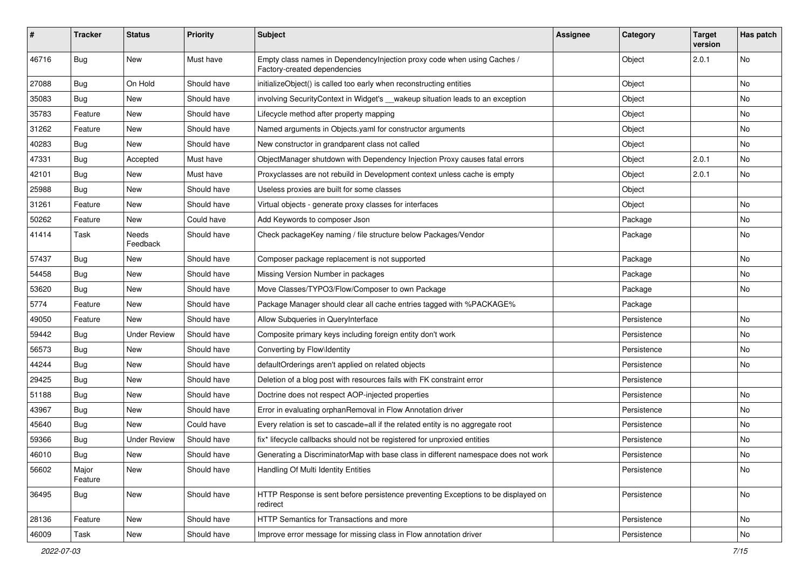| ∦     | <b>Tracker</b>   | <b>Status</b>       | <b>Priority</b> | <b>Subject</b>                                                                                          | <b>Assignee</b> | Category    | <b>Target</b><br>version | Has patch |
|-------|------------------|---------------------|-----------------|---------------------------------------------------------------------------------------------------------|-----------------|-------------|--------------------------|-----------|
| 46716 | Bug              | New                 | Must have       | Empty class names in DependencyInjection proxy code when using Caches /<br>Factory-created dependencies |                 | Object      | 2.0.1                    | No        |
| 27088 | <b>Bug</b>       | On Hold             | Should have     | initializeObject() is called too early when reconstructing entities                                     |                 | Object      |                          | No        |
| 35083 | Bug              | New                 | Should have     | involving Security Context in Widget's __wakeup situation leads to an exception                         |                 | Object      |                          | No        |
| 35783 | Feature          | New                 | Should have     | Lifecycle method after property mapping                                                                 |                 | Object      |                          | No        |
| 31262 | Feature          | New                 | Should have     | Named arguments in Objects.yaml for constructor arguments                                               |                 | Object      |                          | No        |
| 40283 | <b>Bug</b>       | New                 | Should have     | New constructor in grandparent class not called                                                         |                 | Object      |                          | No        |
| 47331 | <b>Bug</b>       | Accepted            | Must have       | ObjectManager shutdown with Dependency Injection Proxy causes fatal errors                              |                 | Object      | 2.0.1                    | No        |
| 42101 | Bug              | New                 | Must have       | Proxyclasses are not rebuild in Development context unless cache is empty                               |                 | Object      | 2.0.1                    | No        |
| 25988 | Bug              | New                 | Should have     | Useless proxies are built for some classes                                                              |                 | Object      |                          |           |
| 31261 | Feature          | New                 | Should have     | Virtual objects - generate proxy classes for interfaces                                                 |                 | Object      |                          | No        |
| 50262 | Feature          | New                 | Could have      | Add Keywords to composer Json                                                                           |                 | Package     |                          | No        |
| 41414 | Task             | Needs<br>Feedback   | Should have     | Check packageKey naming / file structure below Packages/Vendor                                          |                 | Package     |                          | No        |
| 57437 | <b>Bug</b>       | New                 | Should have     | Composer package replacement is not supported                                                           |                 | Package     |                          | No        |
| 54458 | <b>Bug</b>       | New                 | Should have     | Missing Version Number in packages                                                                      |                 | Package     |                          | No        |
| 53620 | Bug              | New                 | Should have     | Move Classes/TYPO3/Flow/Composer to own Package                                                         |                 | Package     |                          | No        |
| 5774  | Feature          | New                 | Should have     | Package Manager should clear all cache entries tagged with %PACKAGE%                                    |                 | Package     |                          |           |
| 49050 | Feature          | New                 | Should have     | Allow Subqueries in QueryInterface                                                                      |                 | Persistence |                          | No        |
| 59442 | <b>Bug</b>       | <b>Under Review</b> | Should have     | Composite primary keys including foreign entity don't work                                              |                 | Persistence |                          | No        |
| 56573 | <b>Bug</b>       | New                 | Should have     | Converting by Flow\Identity                                                                             |                 | Persistence |                          | No        |
| 44244 | Bug              | New                 | Should have     | defaultOrderings aren't applied on related objects                                                      |                 | Persistence |                          | No        |
| 29425 | <b>Bug</b>       | New                 | Should have     | Deletion of a blog post with resources fails with FK constraint error                                   |                 | Persistence |                          |           |
| 51188 | <b>Bug</b>       | New                 | Should have     | Doctrine does not respect AOP-injected properties                                                       |                 | Persistence |                          | No        |
| 43967 | Bug              | New                 | Should have     | Error in evaluating orphanRemoval in Flow Annotation driver                                             |                 | Persistence |                          | No        |
| 45640 | <b>Bug</b>       | New                 | Could have      | Every relation is set to cascade=all if the related entity is no aggregate root                         |                 | Persistence |                          | No        |
| 59366 | <b>Bug</b>       | <b>Under Review</b> | Should have     | fix* lifecycle callbacks should not be registered for unproxied entities                                |                 | Persistence |                          | No        |
| 46010 | Bug              | New                 | Should have     | Generating a DiscriminatorMap with base class in different namespace does not work                      |                 | Persistence |                          | No        |
| 56602 | Major<br>Feature | New                 | Should have     | Handling Of Multi Identity Entities                                                                     |                 | Persistence |                          | No        |
| 36495 | <b>Bug</b>       | New                 | Should have     | HTTP Response is sent before persistence preventing Exceptions to be displayed on<br>redirect           |                 | Persistence |                          | No        |
| 28136 | Feature          | New                 | Should have     | HTTP Semantics for Transactions and more                                                                |                 | Persistence |                          | No        |
| 46009 | Task             | New                 | Should have     | Improve error message for missing class in Flow annotation driver                                       |                 | Persistence |                          | No        |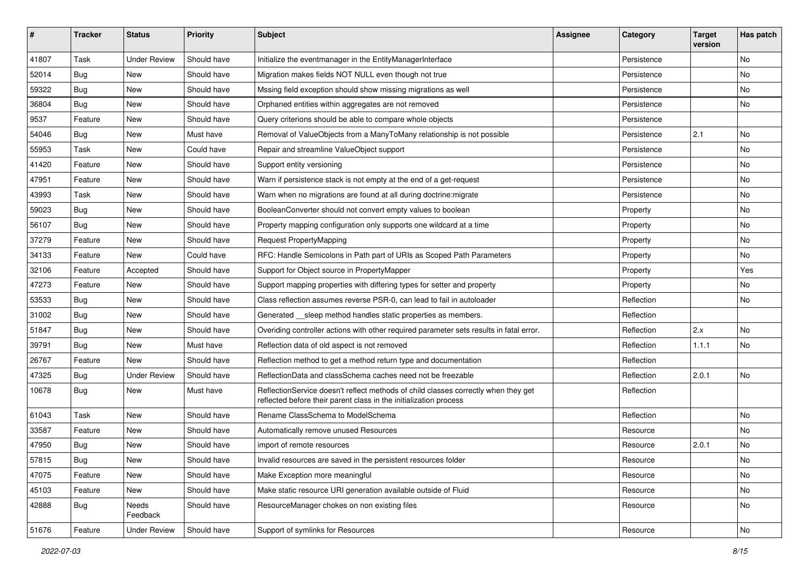| #     | <b>Tracker</b> | <b>Status</b>       | <b>Priority</b> | <b>Subject</b>                                                                                                                                          | <b>Assignee</b> | Category    | <b>Target</b><br>version | Has patch |
|-------|----------------|---------------------|-----------------|---------------------------------------------------------------------------------------------------------------------------------------------------------|-----------------|-------------|--------------------------|-----------|
| 41807 | Task           | <b>Under Review</b> | Should have     | Initialize the eventmanager in the EntityManagerInterface                                                                                               |                 | Persistence |                          | <b>No</b> |
| 52014 | <b>Bug</b>     | <b>New</b>          | Should have     | Migration makes fields NOT NULL even though not true                                                                                                    |                 | Persistence |                          | No        |
| 59322 | <b>Bug</b>     | New                 | Should have     | Mssing field exception should show missing migrations as well                                                                                           |                 | Persistence |                          | No        |
| 36804 | Bug            | <b>New</b>          | Should have     | Orphaned entities within aggregates are not removed                                                                                                     |                 | Persistence |                          | No        |
| 9537  | Feature        | New                 | Should have     | Query criterions should be able to compare whole objects                                                                                                |                 | Persistence |                          |           |
| 54046 | Bug            | <b>New</b>          | Must have       | Removal of ValueObjects from a ManyToMany relationship is not possible                                                                                  |                 | Persistence | 2.1                      | <b>No</b> |
| 55953 | Task           | New                 | Could have      | Repair and streamline ValueObject support                                                                                                               |                 | Persistence |                          | No        |
| 41420 | Feature        | New                 | Should have     | Support entity versioning                                                                                                                               |                 | Persistence |                          | No        |
| 47951 | Feature        | New                 | Should have     | Warn if persistence stack is not empty at the end of a get-request                                                                                      |                 | Persistence |                          | No        |
| 43993 | Task           | <b>New</b>          | Should have     | Warn when no migrations are found at all during doctrine: migrate                                                                                       |                 | Persistence |                          | No        |
| 59023 | Bug            | New                 | Should have     | BooleanConverter should not convert empty values to boolean                                                                                             |                 | Property    |                          | No        |
| 56107 | Bug            | New                 | Should have     | Property mapping configuration only supports one wildcard at a time                                                                                     |                 | Property    |                          | No        |
| 37279 | Feature        | New                 | Should have     | <b>Request PropertyMapping</b>                                                                                                                          |                 | Property    |                          | <b>No</b> |
| 34133 | Feature        | New                 | Could have      | RFC: Handle Semicolons in Path part of URIs as Scoped Path Parameters                                                                                   |                 | Property    |                          | No        |
| 32106 | Feature        | Accepted            | Should have     | Support for Object source in PropertyMapper                                                                                                             |                 | Property    |                          | Yes       |
| 47273 | Feature        | New                 | Should have     | Support mapping properties with differing types for setter and property                                                                                 |                 | Property    |                          | No        |
| 53533 | Bug            | <b>New</b>          | Should have     | Class reflection assumes reverse PSR-0, can lead to fail in autoloader                                                                                  |                 | Reflection  |                          | No        |
| 31002 | Bug            | New                 | Should have     | Generated __sleep method handles static properties as members.                                                                                          |                 | Reflection  |                          |           |
| 51847 | Bug            | <b>New</b>          | Should have     | Overiding controller actions with other required parameter sets results in fatal error.                                                                 |                 | Reflection  | 2.x                      | <b>No</b> |
| 39791 | Bug            | New                 | Must have       | Reflection data of old aspect is not removed                                                                                                            |                 | Reflection  | 1.1.1                    | No        |
| 26767 | Feature        | <b>New</b>          | Should have     | Reflection method to get a method return type and documentation                                                                                         |                 | Reflection  |                          |           |
| 47325 | Bug            | <b>Under Review</b> | Should have     | ReflectionData and classSchema caches need not be freezable                                                                                             |                 | Reflection  | 2.0.1                    | <b>No</b> |
| 10678 | <b>Bug</b>     | New                 | Must have       | ReflectionService doesn't reflect methods of child classes correctly when they get<br>reflected before their parent class in the initialization process |                 | Reflection  |                          |           |
| 61043 | Task           | <b>New</b>          | Should have     | Rename ClassSchema to ModelSchema                                                                                                                       |                 | Reflection  |                          | No        |
| 33587 | Feature        | New                 | Should have     | Automatically remove unused Resources                                                                                                                   |                 | Resource    |                          | <b>No</b> |
| 47950 | Bug            | New                 | Should have     | import of remote resources                                                                                                                              |                 | Resource    | 2.0.1                    | No        |
| 57815 | <b>Bug</b>     | New                 | Should have     | Invalid resources are saved in the persistent resources folder                                                                                          |                 | Resource    |                          | No        |
| 47075 | Feature        | New                 | Should have     | Make Exception more meaningful                                                                                                                          |                 | Resource    |                          | No        |
| 45103 | Feature        | New                 | Should have     | Make static resource URI generation available outside of Fluid                                                                                          |                 | Resource    |                          | No        |
| 42888 | <b>Bug</b>     | Needs<br>Feedback   | Should have     | ResourceManager chokes on non existing files                                                                                                            |                 | Resource    |                          | No        |
| 51676 | Feature        | <b>Under Review</b> | Should have     | Support of symlinks for Resources                                                                                                                       |                 | Resource    |                          | No        |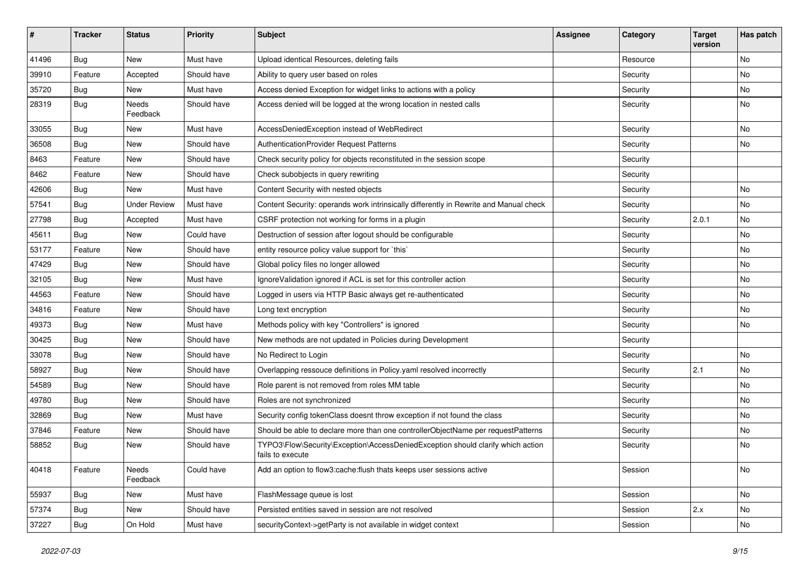| #     | <b>Tracker</b> | <b>Status</b>       | <b>Priority</b> | <b>Subject</b>                                                                                      | Assignee | Category | <b>Target</b><br>version | Has patch |
|-------|----------------|---------------------|-----------------|-----------------------------------------------------------------------------------------------------|----------|----------|--------------------------|-----------|
| 41496 | Bug            | <b>New</b>          | Must have       | Upload identical Resources, deleting fails                                                          |          | Resource |                          | No        |
| 39910 | Feature        | Accepted            | Should have     | Ability to query user based on roles                                                                |          | Security |                          | No        |
| 35720 | <b>Bug</b>     | New                 | Must have       | Access denied Exception for widget links to actions with a policy                                   |          | Security |                          | No        |
| 28319 | <b>Bug</b>     | Needs<br>Feedback   | Should have     | Access denied will be logged at the wrong location in nested calls                                  |          | Security |                          | No        |
| 33055 | <b>Bug</b>     | <b>New</b>          | Must have       | AccessDeniedException instead of WebRedirect                                                        |          | Security |                          | <b>No</b> |
| 36508 | <b>Bug</b>     | New                 | Should have     | AuthenticationProvider Request Patterns                                                             |          | Security |                          | No        |
| 8463  | Feature        | New                 | Should have     | Check security policy for objects reconstituted in the session scope                                |          | Security |                          |           |
| 8462  | Feature        | New                 | Should have     | Check subobjects in query rewriting                                                                 |          | Security |                          |           |
| 42606 | <b>Bug</b>     | New                 | Must have       | Content Security with nested objects                                                                |          | Security |                          | No        |
| 57541 | <b>Bug</b>     | <b>Under Review</b> | Must have       | Content Security: operands work intrinsically differently in Rewrite and Manual check               |          | Security |                          | <b>No</b> |
| 27798 | Bug            | Accepted            | Must have       | CSRF protection not working for forms in a plugin                                                   |          | Security | 2.0.1                    | No        |
| 45611 | <b>Bug</b>     | New                 | Could have      | Destruction of session after logout should be configurable                                          |          | Security |                          | No        |
| 53177 | Feature        | New                 | Should have     | entity resource policy value support for `this`                                                     |          | Security |                          | No        |
| 47429 | <b>Bug</b>     | New                 | Should have     | Global policy files no longer allowed                                                               |          | Security |                          | No        |
| 32105 | <b>Bug</b>     | New                 | Must have       | Ignore Validation ignored if ACL is set for this controller action                                  |          | Security |                          | No        |
| 44563 | Feature        | New                 | Should have     | Logged in users via HTTP Basic always get re-authenticated                                          |          | Security |                          | No        |
| 34816 | Feature        | New                 | Should have     | Long text encryption                                                                                |          | Security |                          | No        |
| 49373 | <b>Bug</b>     | New                 | Must have       | Methods policy with key "Controllers" is ignored                                                    |          | Security |                          | No        |
| 30425 | <b>Bug</b>     | New                 | Should have     | New methods are not updated in Policies during Development                                          |          | Security |                          |           |
| 33078 | <b>Bug</b>     | New                 | Should have     | No Redirect to Login                                                                                |          | Security |                          | No        |
| 58927 | <b>Bug</b>     | New                 | Should have     | Overlapping ressouce definitions in Policy.yaml resolved incorrectly                                |          | Security | 2.1                      | No        |
| 54589 | Bug            | New                 | Should have     | Role parent is not removed from roles MM table                                                      |          | Security |                          | No        |
| 49780 | <b>Bug</b>     | New                 | Should have     | Roles are not synchronized                                                                          |          | Security |                          | No        |
| 32869 | <b>Bug</b>     | New                 | Must have       | Security config tokenClass doesnt throw exception if not found the class                            |          | Security |                          | No        |
| 37846 | Feature        | New                 | Should have     | Should be able to declare more than one controllerObjectName per requestPatterns                    |          | Security |                          | No        |
| 58852 | Bug            | New                 | Should have     | TYPO3\Flow\Security\Exception\AccessDeniedException should clarify which action<br>fails to execute |          | Security |                          | No        |
| 40418 | Feature        | Needs<br>Feedback   | Could have      | Add an option to flow3:cache:flush thats keeps user sessions active                                 |          | Session  |                          | No        |
| 55937 | Bug            | New                 | Must have       | FlashMessage queue is lost                                                                          |          | Session  |                          | No        |
| 57374 | Bug            | New                 | Should have     | Persisted entities saved in session are not resolved                                                |          | Session  | 2.x                      | No        |
| 37227 | <b>Bug</b>     | On Hold             | Must have       | securityContext->getParty is not available in widget context                                        |          | Session  |                          | No        |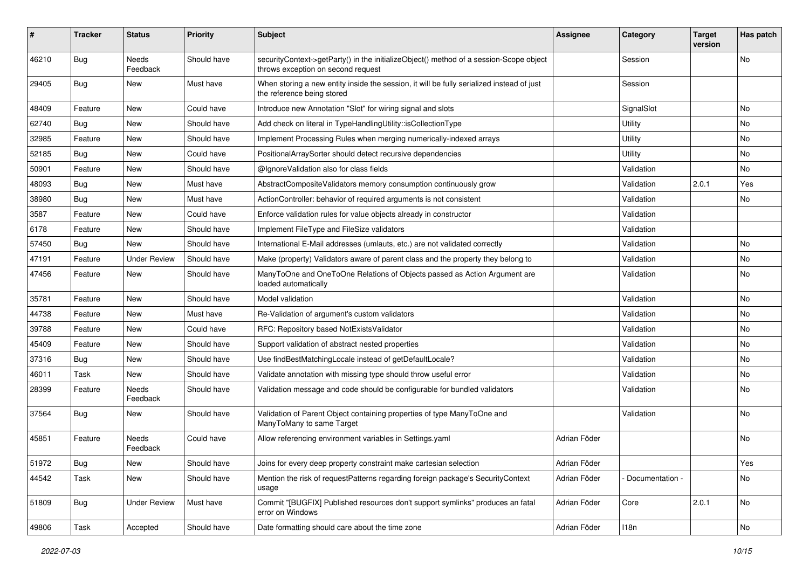| #     | <b>Tracker</b> | <b>Status</b>            | <b>Priority</b> | <b>Subject</b>                                                                                                               | <b>Assignee</b> | Category          | <b>Target</b><br>version | Has patch |
|-------|----------------|--------------------------|-----------------|------------------------------------------------------------------------------------------------------------------------------|-----------------|-------------------|--------------------------|-----------|
| 46210 | <b>Bug</b>     | Needs<br>Feedback        | Should have     | securityContext->getParty() in the initializeObject() method of a session-Scope object<br>throws exception on second request |                 | Session           |                          | No        |
| 29405 | Bug            | New                      | Must have       | When storing a new entity inside the session, it will be fully serialized instead of just<br>the reference being stored      |                 | Session           |                          |           |
| 48409 | Feature        | New                      | Could have      | Introduce new Annotation "Slot" for wiring signal and slots                                                                  |                 | SignalSlot        |                          | No        |
| 62740 | <b>Bug</b>     | New                      | Should have     | Add check on literal in TypeHandlingUtility::isCollectionType                                                                |                 | Utility           |                          | <b>No</b> |
| 32985 | Feature        | New                      | Should have     | Implement Processing Rules when merging numerically-indexed arrays                                                           |                 | Utility           |                          | No        |
| 52185 | <b>Bug</b>     | New                      | Could have      | PositionalArraySorter should detect recursive dependencies                                                                   |                 | Utility           |                          | No        |
| 50901 | Feature        | New                      | Should have     | @IgnoreValidation also for class fields                                                                                      |                 | Validation        |                          | No        |
| 48093 | <b>Bug</b>     | New                      | Must have       | AbstractCompositeValidators memory consumption continuously grow                                                             |                 | Validation        | 2.0.1                    | Yes       |
| 38980 | Bug            | New                      | Must have       | ActionController: behavior of required arguments is not consistent                                                           |                 | Validation        |                          | No        |
| 3587  | Feature        | <b>New</b>               | Could have      | Enforce validation rules for value objects already in constructor                                                            |                 | Validation        |                          |           |
| 6178  | Feature        | New                      | Should have     | Implement FileType and FileSize validators                                                                                   |                 | Validation        |                          |           |
| 57450 | <b>Bug</b>     | <b>New</b>               | Should have     | International E-Mail addresses (umlauts, etc.) are not validated correctly                                                   |                 | Validation        |                          | No.       |
| 47191 | Feature        | <b>Under Review</b>      | Should have     | Make (property) Validators aware of parent class and the property they belong to                                             |                 | Validation        |                          | No        |
| 47456 | Feature        | New                      | Should have     | ManyToOne and OneToOne Relations of Objects passed as Action Argument are<br>loaded automatically                            |                 | Validation        |                          | No        |
| 35781 | Feature        | <b>New</b>               | Should have     | Model validation                                                                                                             |                 | Validation        |                          | No.       |
| 44738 | Feature        | New                      | Must have       | Re-Validation of argument's custom validators                                                                                |                 | Validation        |                          | No        |
| 39788 | Feature        | New                      | Could have      | RFC: Repository based NotExistsValidator                                                                                     |                 | Validation        |                          | No        |
| 45409 | Feature        | New                      | Should have     | Support validation of abstract nested properties                                                                             |                 | Validation        |                          | No        |
| 37316 | <b>Bug</b>     | New                      | Should have     | Use findBestMatchingLocale instead of getDefaultLocale?                                                                      |                 | Validation        |                          | No        |
| 46011 | Task           | New                      | Should have     | Validate annotation with missing type should throw useful error                                                              |                 | Validation        |                          | No        |
| 28399 | Feature        | Needs<br>Feedback        | Should have     | Validation message and code should be configurable for bundled validators                                                    |                 | Validation        |                          | No        |
| 37564 | <b>Bug</b>     | New                      | Should have     | Validation of Parent Object containing properties of type ManyToOne and<br>ManyToMany to same Target                         |                 | Validation        |                          | No        |
| 45851 | Feature        | <b>Needs</b><br>Feedback | Could have      | Allow referencing environment variables in Settings.yaml                                                                     | Adrian Föder    |                   |                          | No        |
| 51972 | <b>Bug</b>     | New                      | Should have     | Joins for every deep property constraint make cartesian selection                                                            | Adrian Föder    |                   |                          | Yes       |
| 44542 | Task           | New                      | Should have     | Mention the risk of requestPatterns regarding foreign package's SecurityContext<br>usage                                     | Adrian Föder    | - Documentation - |                          | No        |
| 51809 | Bug            | <b>Under Review</b>      | Must have       | Commit "[BUGFIX] Published resources don't support symlinks" produces an fatal<br>error on Windows                           | Adrian Föder    | Core              | 2.0.1                    | No        |
| 49806 | Task           | Accepted                 | Should have     | Date formatting should care about the time zone                                                                              | Adrian Föder    | 118n              |                          | No        |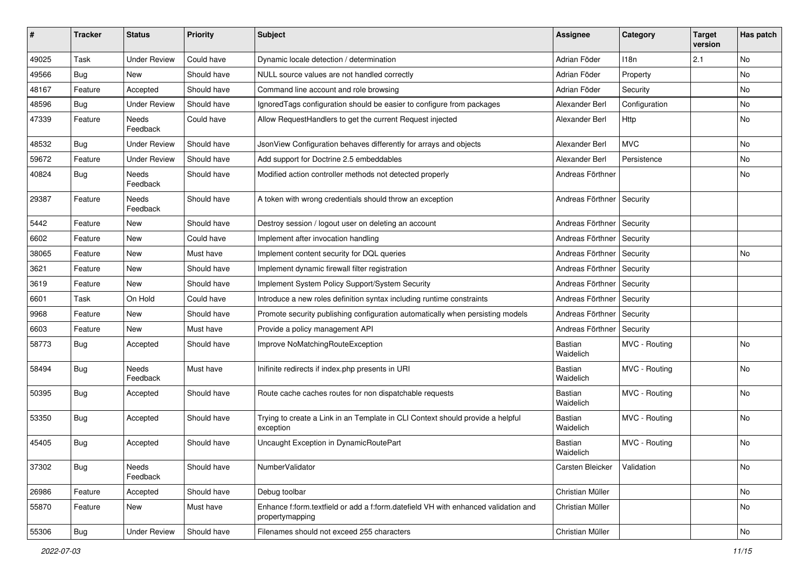| #     | <b>Tracker</b> | <b>Status</b>            | <b>Priority</b> | <b>Subject</b>                                                                                        | <b>Assignee</b>             | Category         | <b>Target</b><br>version | Has patch |
|-------|----------------|--------------------------|-----------------|-------------------------------------------------------------------------------------------------------|-----------------------------|------------------|--------------------------|-----------|
| 49025 | Task           | <b>Under Review</b>      | Could have      | Dynamic locale detection / determination                                                              | Adrian Föder                | 118 <sub>n</sub> | 2.1                      | <b>No</b> |
| 49566 | Bug            | New                      | Should have     | NULL source values are not handled correctly                                                          | Adrian Föder                | Property         |                          | No        |
| 48167 | Feature        | Accepted                 | Should have     | Command line account and role browsing                                                                | Adrian Föder                | Security         |                          | No        |
| 48596 | <b>Bug</b>     | <b>Under Review</b>      | Should have     | IgnoredTags configuration should be easier to configure from packages                                 | Alexander Berl              | Configuration    |                          | No        |
| 47339 | Feature        | Needs<br>Feedback        | Could have      | Allow RequestHandlers to get the current Request injected                                             | Alexander Berl              | <b>Http</b>      |                          | No        |
| 48532 | <b>Bug</b>     | <b>Under Review</b>      | Should have     | JsonView Configuration behaves differently for arrays and objects                                     | Alexander Berl              | <b>MVC</b>       |                          | No        |
| 59672 | Feature        | <b>Under Review</b>      | Should have     | Add support for Doctrine 2.5 embeddables                                                              | Alexander Berl              | Persistence      |                          | No        |
| 40824 | <b>Bug</b>     | <b>Needs</b><br>Feedback | Should have     | Modified action controller methods not detected properly                                              | Andreas Förthner            |                  |                          | No        |
| 29387 | Feature        | Needs<br>Feedback        | Should have     | A token with wrong credentials should throw an exception                                              | Andreas Förthner   Security |                  |                          |           |
| 5442  | Feature        | New                      | Should have     | Destroy session / logout user on deleting an account                                                  | Andreas Förthner   Security |                  |                          |           |
| 6602  | Feature        | New                      | Could have      | Implement after invocation handling                                                                   | Andreas Förthner   Security |                  |                          |           |
| 38065 | Feature        | <b>New</b>               | Must have       | Implement content security for DQL queries                                                            | Andreas Förthner            | Security         |                          | No        |
| 3621  | Feature        | New                      | Should have     | Implement dynamic firewall filter registration                                                        | Andreas Förthner            | Security         |                          |           |
| 3619  | Feature        | New                      | Should have     | Implement System Policy Support/System Security                                                       | Andreas Förthner            | Security         |                          |           |
| 6601  | Task           | On Hold                  | Could have      | Introduce a new roles definition syntax including runtime constraints                                 | Andreas Förthner   Security |                  |                          |           |
| 9968  | Feature        | New                      | Should have     | Promote security publishing configuration automatically when persisting models                        | Andreas Förthner            | Security         |                          |           |
| 6603  | Feature        | New                      | Must have       | Provide a policy management API                                                                       | Andreas Förthner            | Security         |                          |           |
| 58773 | Bug            | Accepted                 | Should have     | Improve NoMatchingRouteException                                                                      | Bastian<br>Waidelich        | MVC - Routing    |                          | No        |
| 58494 | <b>Bug</b>     | Needs<br>Feedback        | Must have       | Inifinite redirects if index.php presents in URI                                                      | <b>Bastian</b><br>Waidelich | MVC - Routing    |                          | No        |
| 50395 | <b>Bug</b>     | Accepted                 | Should have     | Route cache caches routes for non dispatchable requests                                               | Bastian<br>Waidelich        | MVC - Routing    |                          | No        |
| 53350 | <b>Bug</b>     | Accepted                 | Should have     | Trying to create a Link in an Template in CLI Context should provide a helpful<br>exception           | Bastian<br>Waidelich        | MVC - Routing    |                          | No        |
| 45405 | Bug            | Accepted                 | Should have     | Uncaught Exception in DynamicRoutePart                                                                | Bastian<br>Waidelich        | MVC - Routing    |                          | No        |
| 37302 | Bug            | Needs<br>Feedback        | Should have     | NumberValidator                                                                                       | Carsten Bleicker            | Validation       |                          | No        |
| 26986 | Feature        | Accepted                 | Should have     | Debug toolbar                                                                                         | Christian Müller            |                  |                          | No        |
| 55870 | Feature        | New                      | Must have       | Enhance f:form.textfield or add a f:form.datefield VH with enhanced validation and<br>propertymapping | Christian Müller            |                  |                          | No        |
| 55306 | Bug            | <b>Under Review</b>      | Should have     | Filenames should not exceed 255 characters                                                            | Christian Müller            |                  |                          | No        |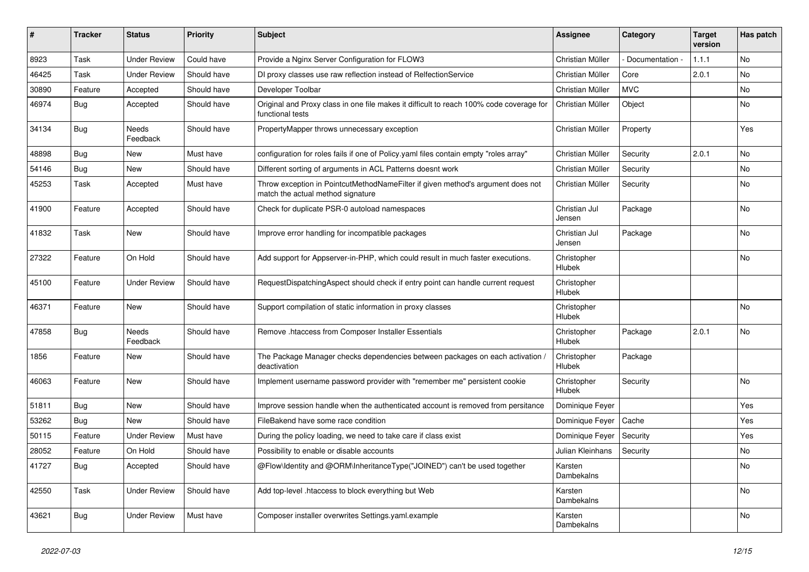| ∦     | <b>Tracker</b> | <b>Status</b>            | <b>Priority</b> | <b>Subject</b>                                                                                                       | <b>Assignee</b>         | Category        | <b>Target</b><br>version | Has patch |
|-------|----------------|--------------------------|-----------------|----------------------------------------------------------------------------------------------------------------------|-------------------------|-----------------|--------------------------|-----------|
| 8923  | Task           | <b>Under Review</b>      | Could have      | Provide a Nginx Server Configuration for FLOW3                                                                       | Christian Müller        | Documentation - | 1.1.1                    | No        |
| 46425 | Task           | <b>Under Review</b>      | Should have     | DI proxy classes use raw reflection instead of RelfectionService                                                     | Christian Müller        | Core            | 2.0.1                    | No        |
| 30890 | Feature        | Accepted                 | Should have     | Developer Toolbar                                                                                                    | Christian Müller        | <b>MVC</b>      |                          | No        |
| 46974 | Bug            | Accepted                 | Should have     | Original and Proxy class in one file makes it difficult to reach 100% code coverage for<br>functional tests          | Christian Müller        | Object          |                          | No        |
| 34134 | <b>Bug</b>     | <b>Needs</b><br>Feedback | Should have     | PropertyMapper throws unnecessary exception                                                                          | Christian Müller        | Property        |                          | Yes       |
| 48898 | Bug            | New                      | Must have       | configuration for roles fails if one of Policy yaml files contain empty "roles array"                                | Christian Müller        | Security        | 2.0.1                    | No        |
| 54146 | Bug            | New                      | Should have     | Different sorting of arguments in ACL Patterns doesnt work                                                           | Christian Müller        | Security        |                          | <b>No</b> |
| 45253 | Task           | Accepted                 | Must have       | Throw exception in PointcutMethodNameFilter if given method's argument does not<br>match the actual method signature | Christian Müller        | Security        |                          | No        |
| 41900 | Feature        | Accepted                 | Should have     | Check for duplicate PSR-0 autoload namespaces                                                                        | Christian Jul<br>Jensen | Package         |                          | No        |
| 41832 | Task           | New                      | Should have     | Improve error handling for incompatible packages                                                                     | Christian Jul<br>Jensen | Package         |                          | No        |
| 27322 | Feature        | On Hold                  | Should have     | Add support for Appserver-in-PHP, which could result in much faster executions.                                      | Christopher<br>Hlubek   |                 |                          | No        |
| 45100 | Feature        | <b>Under Review</b>      | Should have     | RequestDispatchingAspect should check if entry point can handle current request                                      | Christopher<br>Hlubek   |                 |                          |           |
| 46371 | Feature        | <b>New</b>               | Should have     | Support compilation of static information in proxy classes                                                           | Christopher<br>Hlubek   |                 |                          | <b>No</b> |
| 47858 | Bug            | <b>Needs</b><br>Feedback | Should have     | Remove .htaccess from Composer Installer Essentials                                                                  | Christopher<br>Hlubek   | Package         | 2.0.1                    | No        |
| 1856  | Feature        | New                      | Should have     | The Package Manager checks dependencies between packages on each activation<br>deactivation                          | Christopher<br>Hlubek   | Package         |                          |           |
| 46063 | Feature        | <b>New</b>               | Should have     | Implement username password provider with "remember me" persistent cookie                                            | Christopher<br>Hlubek   | Security        |                          | No        |
| 51811 | Bug            | New                      | Should have     | Improve session handle when the authenticated account is removed from persitance                                     | Dominique Feyer         |                 |                          | Yes       |
| 53262 | Bug            | <b>New</b>               | Should have     | FileBakend have some race condition                                                                                  | Dominique Feyer         | Cache           |                          | Yes       |
| 50115 | Feature        | <b>Under Review</b>      | Must have       | During the policy loading, we need to take care if class exist                                                       | Dominique Feyer         | Security        |                          | Yes       |
| 28052 | Feature        | On Hold                  | Should have     | Possibility to enable or disable accounts                                                                            | Julian Kleinhans        | Security        |                          | No        |
| 41727 | <b>Bug</b>     | Accepted                 | Should have     | @Flow\Identity and @ORM\InheritanceType("JOINED") can't be used together                                             | Karsten<br>Dambekalns   |                 |                          | No        |
| 42550 | Task           | <b>Under Review</b>      | Should have     | Add top-level .htaccess to block everything but Web                                                                  | Karsten<br>Dambekalns   |                 |                          | No        |
| 43621 | Bug            | <b>Under Review</b>      | Must have       | Composer installer overwrites Settings.yaml.example                                                                  | Karsten<br>Dambekalns   |                 |                          | No        |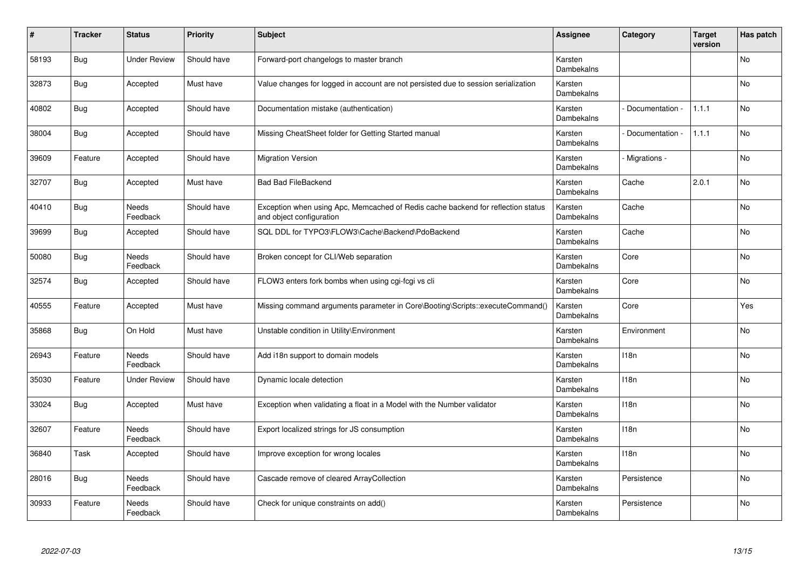| #     | <b>Tracker</b> | <b>Status</b>            | <b>Priority</b> | <b>Subject</b>                                                                                               | <b>Assignee</b>       | Category        | <b>Target</b><br>version | Has patch      |
|-------|----------------|--------------------------|-----------------|--------------------------------------------------------------------------------------------------------------|-----------------------|-----------------|--------------------------|----------------|
| 58193 | Bug            | <b>Under Review</b>      | Should have     | Forward-port changelogs to master branch                                                                     | Karsten<br>Dambekalns |                 |                          | No             |
| 32873 | Bug            | Accepted                 | Must have       | Value changes for logged in account are not persisted due to session serialization                           | Karsten<br>Dambekalns |                 |                          | No             |
| 40802 | Bug            | Accepted                 | Should have     | Documentation mistake (authentication)                                                                       | Karsten<br>Dambekalns | Documentation   | 1.1.1                    | No             |
| 38004 | Bug            | Accepted                 | Should have     | Missing CheatSheet folder for Getting Started manual                                                         | Karsten<br>Dambekalns | Documentation - | 1.1.1                    | No             |
| 39609 | Feature        | Accepted                 | Should have     | <b>Migration Version</b>                                                                                     | Karsten<br>Dambekalns | - Migrations -  |                          | No             |
| 32707 | Bug            | Accepted                 | Must have       | <b>Bad Bad FileBackend</b>                                                                                   | Karsten<br>Dambekalns | Cache           | 2.0.1                    | N <sub>o</sub> |
| 40410 | Bug            | Needs<br>Feedback        | Should have     | Exception when using Apc, Memcached of Redis cache backend for reflection status<br>and object configuration | Karsten<br>Dambekalns | Cache           |                          | N <sub>o</sub> |
| 39699 | Bug            | Accepted                 | Should have     | SQL DDL for TYPO3\FLOW3\Cache\Backend\PdoBackend                                                             | Karsten<br>Dambekalns | Cache           |                          | No             |
| 50080 | <b>Bug</b>     | <b>Needs</b><br>Feedback | Should have     | Broken concept for CLI/Web separation                                                                        | Karsten<br>Dambekalns | Core            |                          | <b>No</b>      |
| 32574 | Bug            | Accepted                 | Should have     | FLOW3 enters fork bombs when using cgi-fcgi vs cli                                                           | Karsten<br>Dambekalns | Core            |                          | No             |
| 40555 | Feature        | Accepted                 | Must have       | Missing command arguments parameter in Core\Booting\Scripts::executeCommand()                                | Karsten<br>Dambekalns | Core            |                          | Yes            |
| 35868 | Bug            | On Hold                  | Must have       | Unstable condition in Utility\Environment                                                                    | Karsten<br>Dambekalns | Environment     |                          | <b>No</b>      |
| 26943 | Feature        | <b>Needs</b><br>Feedback | Should have     | Add i18n support to domain models                                                                            | Karsten<br>Dambekalns | 118n            |                          | <b>No</b>      |
| 35030 | Feature        | <b>Under Review</b>      | Should have     | Dynamic locale detection                                                                                     | Karsten<br>Dambekalns | 118n            |                          | <b>No</b>      |
| 33024 | Bug            | Accepted                 | Must have       | Exception when validating a float in a Model with the Number validator                                       | Karsten<br>Dambekalns | 118n            |                          | No             |
| 32607 | Feature        | Needs<br>Feedback        | Should have     | Export localized strings for JS consumption                                                                  | Karsten<br>Dambekalns | 118n            |                          | No             |
| 36840 | Task           | Accepted                 | Should have     | Improve exception for wrong locales                                                                          | Karsten<br>Dambekalns | 118n            |                          | No             |
| 28016 | Bug            | Needs<br>Feedback        | Should have     | Cascade remove of cleared ArrayCollection                                                                    | Karsten<br>Dambekalns | Persistence     |                          | No             |
| 30933 | Feature        | Needs<br>Feedback        | Should have     | Check for unique constraints on add()                                                                        | Karsten<br>Dambekalns | Persistence     |                          | No             |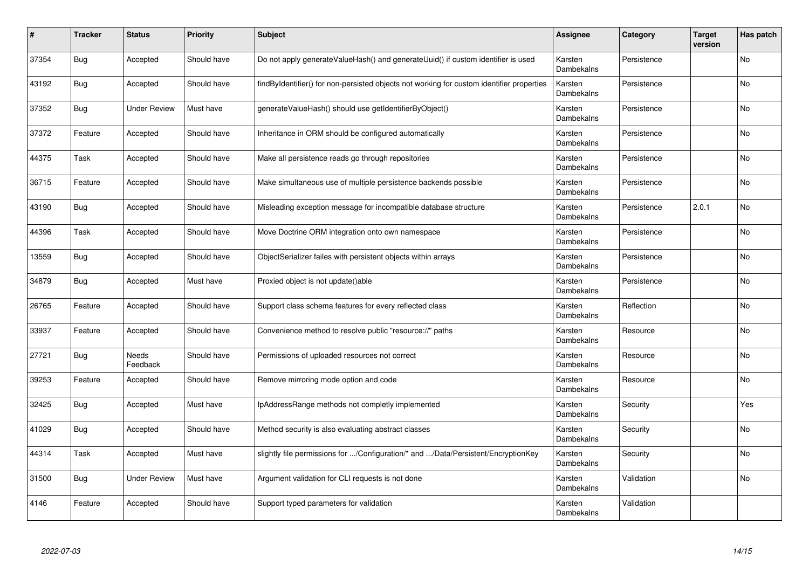| $\sharp$ | Tracker    | <b>Status</b>            | <b>Priority</b> | <b>Subject</b>                                                                            | <b>Assignee</b>       | Category    | <b>Target</b><br>version | Has patch      |
|----------|------------|--------------------------|-----------------|-------------------------------------------------------------------------------------------|-----------------------|-------------|--------------------------|----------------|
| 37354    | <b>Bug</b> | Accepted                 | Should have     | Do not apply generateValueHash() and generateUuid() if custom identifier is used          | Karsten<br>Dambekalns | Persistence |                          | No             |
| 43192    | Bug        | Accepted                 | Should have     | findByIdentifier() for non-persisted objects not working for custom identifier properties | Karsten<br>Dambekalns | Persistence |                          | No             |
| 37352    | Bug        | <b>Under Review</b>      | Must have       | generateValueHash() should use getIdentifierByObject()                                    | Karsten<br>Dambekalns | Persistence |                          | No             |
| 37372    | Feature    | Accepted                 | Should have     | Inheritance in ORM should be configured automatically                                     | Karsten<br>Dambekalns | Persistence |                          | No             |
| 44375    | Task       | Accepted                 | Should have     | Make all persistence reads go through repositories                                        | Karsten<br>Dambekalns | Persistence |                          | No             |
| 36715    | Feature    | Accepted                 | Should have     | Make simultaneous use of multiple persistence backends possible                           | Karsten<br>Dambekalns | Persistence |                          | N <sub>o</sub> |
| 43190    | Bug        | Accepted                 | Should have     | Misleading exception message for incompatible database structure                          | Karsten<br>Dambekalns | Persistence | 2.0.1                    | No             |
| 44396    | Task       | Accepted                 | Should have     | Move Doctrine ORM integration onto own namespace                                          | Karsten<br>Dambekalns | Persistence |                          | No             |
| 13559    | Bug        | Accepted                 | Should have     | ObjectSerializer failes with persistent objects within arrays                             | Karsten<br>Dambekalns | Persistence |                          | <b>No</b>      |
| 34879    | Bug        | Accepted                 | Must have       | Proxied object is not update()able                                                        | Karsten<br>Dambekalns | Persistence |                          | No             |
| 26765    | Feature    | Accepted                 | Should have     | Support class schema features for every reflected class                                   | Karsten<br>Dambekalns | Reflection  |                          | No             |
| 33937    | Feature    | Accepted                 | Should have     | Convenience method to resolve public "resource://" paths                                  | Karsten<br>Dambekalns | Resource    |                          | <b>No</b>      |
| 27721    | Bug        | <b>Needs</b><br>Feedback | Should have     | Permissions of uploaded resources not correct                                             | Karsten<br>Dambekalns | Resource    |                          | No             |
| 39253    | Feature    | Accepted                 | Should have     | Remove mirroring mode option and code                                                     | Karsten<br>Dambekalns | Resource    |                          | <b>No</b>      |
| 32425    | Bug        | Accepted                 | Must have       | IpAddressRange methods not completly implemented                                          | Karsten<br>Dambekalns | Security    |                          | Yes            |
| 41029    | Bug        | Accepted                 | Should have     | Method security is also evaluating abstract classes                                       | Karsten<br>Dambekalns | Security    |                          | No             |
| 44314    | Task       | Accepted                 | Must have       | slightly file permissions for /Configuration/* and /Data/Persistent/EncryptionKey         | Karsten<br>Dambekalns | Security    |                          | No             |
| 31500    | Bug        | <b>Under Review</b>      | Must have       | Argument validation for CLI requests is not done                                          | Karsten<br>Dambekalns | Validation  |                          | No             |
| 4146     | Feature    | Accepted                 | Should have     | Support typed parameters for validation                                                   | Karsten<br>Dambekalns | Validation  |                          |                |